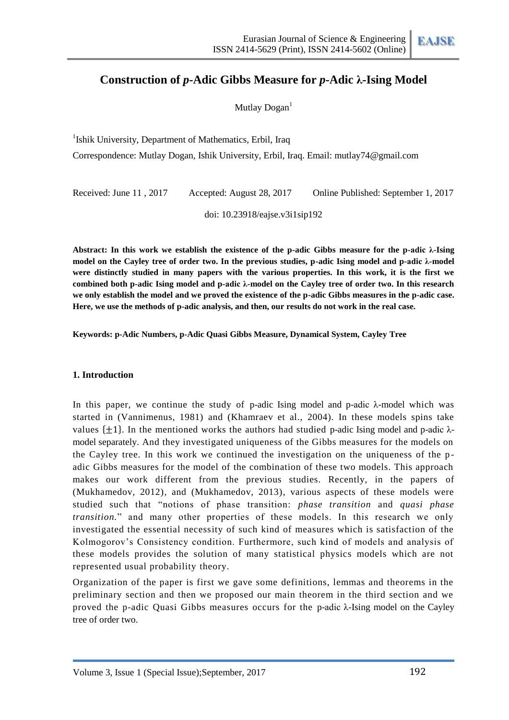# **Construction of** *p***-Adic Gibbs Measure for** *p***-Adic λ-Ising Model**

Mutlay Dogan<sup>1</sup>

<sup>1</sup>Ishik University, Department of Mathematics, Erbil, Iraq

Correspondence: Mutlay Dogan, Ishik University, Erbil, Iraq. Email: mutlay74@gmail.com

Received: June 11 , 2017 Accepted: August 28, 2017 Online Published: September 1, 2017

doi: 10.23918/eajse.v3i1sip192

**Abstract: In this work we establish the existence of the p-adic Gibbs measure for the p-adic λ-Ising model on the Cayley tree of order two. In the previous studies, p-adic Ising model and p-adic λ-model were distinctly studied in many papers with the various properties. In this work, it is the first we combined both p-adic Ising model and p-adic λ-model on the Cayley tree of order two. In this research we only establish the model and we proved the existence of the p-adic Gibbs measures in the p-adic case. Here, we use the methods of p-adic analysis, and then, our results do not work in the real case.**

**Keywords: p-Adic Numbers, p-Adic Quasi Gibbs Measure, Dynamical System, Cayley Tree**

### **1. Introduction**

In this paper, we continue the study of p-adic Ising model and p-adic  $\lambda$ -model which was started in (Vannimenus, 1981) and (Khamraev et al., 2004). In these models spins take values  $\{+1\}$ . In the mentioned works the authors had studied p-adic Ising model and p-adic  $\lambda$ model separately. And they investigated uniqueness of the Gibbs measures for the models on the Cayley tree. In this work we continued the investigation on the uniqueness of the p adic Gibbs measures for the model of the combination of these two models. This approach makes our work different from the previous studies. Recently, in the papers of (Mukhamedov, 2012), and (Mukhamedov, 2013), various aspects of these models were studied such that "notions of phase transition: *phase transition* and *quasi phase transition.*" and many other properties of these models. In this research we only investigated the essential necessity of such kind of measures which is satisfaction of the Kolmogorov's Consistency condition. Furthermore, such kind of models and analysis of these models provides the solution of many statistical physics models which are not represented usual probability theory.

Organization of the paper is first we gave some definitions, lemmas and theorems in the preliminary section and then we proposed our main theorem in the third section and we proved the p-adic Quasi Gibbs measures occurs for the p-adic λ-Ising model on the Cayley tree of order two.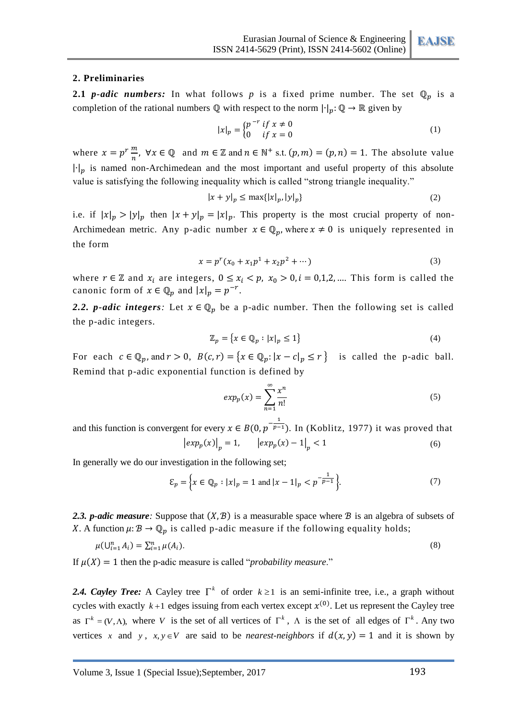### **2. Preliminaries**

**2.1** *p-adic numbers:* In what follows *p* is a fixed prime number. The set  $\mathbb{Q}_p$  is a completion of the rational numbers  $\mathbb Q$  with respect to the norm  $|\cdot|_p: \mathbb Q \to \mathbb R$  given by

$$
|x|_p = \begin{cases} p^{-r} & \text{if } x \neq 0 \\ 0 & \text{if } x = 0 \end{cases}
$$
 (1)

where  $x = p^r$  $\frac{m}{n}$ ,  $\forall x \in \mathbb{Q}$  and  $m \in \mathbb{Z}$  and  $n \in \mathbb{N}^+$  s.t.  $(p, m) = (p, n) = 1$ . The absolute value  $|\cdot|_p$  is named non-Archimedean and the most important and useful property of this absolute value is satisfying the following inequality which is called "strong triangle inequality."

$$
|x + y|_p \le \max\{|x|_p, |y|_p\} \tag{2}
$$

i.e. if  $|x|_p > |y|_p$  then  $|x + y|_p = |x|_p$ . This property is the most crucial property of non-Archimedean metric. Any p-adic number  $x \in \mathbb{Q}_n$ , where  $x \neq 0$  is uniquely represented in the form

$$
x = p^{r}(x_0 + x_1p^1 + x_2p^2 + \cdots)
$$
 (3)

where  $r \in \mathbb{Z}$  and  $x_i$  are integers,  $0 \le x_i < p$ ,  $x_0 > 0$ ,  $i = 0,1,2,...$  This form is called the canonic form of  $x \in \mathbb{Q}_p$  and  $|x|_p = p^{-r}$ .

2.2. *p-adic integers*: Let  $x \in \mathbb{Q}_p$  be a p-adic number. Then the following set is called the p-adic integers.

$$
\mathbb{Z}_p = \{ x \in \mathbb{Q}_p : |x|_p \le 1 \} \tag{4}
$$

For each  $c \in \mathbb{Q}_p$ , and  $r > 0$ ,  $B(c, r) = \{x \in \mathbb{Q}_p : |x - c|_p \le r\}$  is called the p-adic ball. Remind that p-adic exponential function is defined by

$$
exp_p(x) = \sum_{n=1}^{\infty} \frac{x^n}{n!}
$$
 (5)

and this function is convergent for every  $x \in B(0,p^{-\frac{1}{p-1}})$ . In (Koblitz, 1977) it was proved that  $\left| exp_{p}(x) \right|_{p} = 1, \qquad \left| exp_{p}(x) - 1 \right|_{p} < 1$  (6)

In generally we do our investigation in the following set;

$$
\mathcal{E}_p = \left\{ x \in \mathbb{Q}_p : |x|_p = 1 \text{ and } |x - 1|_p < p^{-\frac{1}{p-1}} \right\}.\tag{7}
$$

2.3. *p-adic measure*: Suppose that  $(X, \mathcal{B})$  is a measurable space where  $\mathcal{B}$  is an algebra of subsets of X. A function  $\mu: \mathcal{B} \to \mathbb{Q}_n$  is called p-adic measure if the following equality holds;

$$
\mu(\bigcup_{i=1}^{n} A_i) = \sum_{i=1}^{n} \mu(A_i). \tag{8}
$$

If  $\mu(X) = 1$  then the p-adic measure is called "*probability measure*."

2.4. Cayley Tree: A Cayley tree  $\Gamma^k$  of order  $k \ge 1$  is an semi-infinite tree, i.e., a graph without cycles with exactly  $k+1$  edges issuing from each vertex except  $x^{(0)}$ . Let us represent the Cayley tree as  $\Gamma^k = (V, \Lambda)$ , where V is the set of all vertices of  $\Gamma^k$ ,  $\Lambda$  is the set of all edges of  $\Gamma^k$ . Any two vertices x and y,  $x, y \in V$  are said to be *nearest-neighbors* if  $d(x, y) = 1$  and it is shown by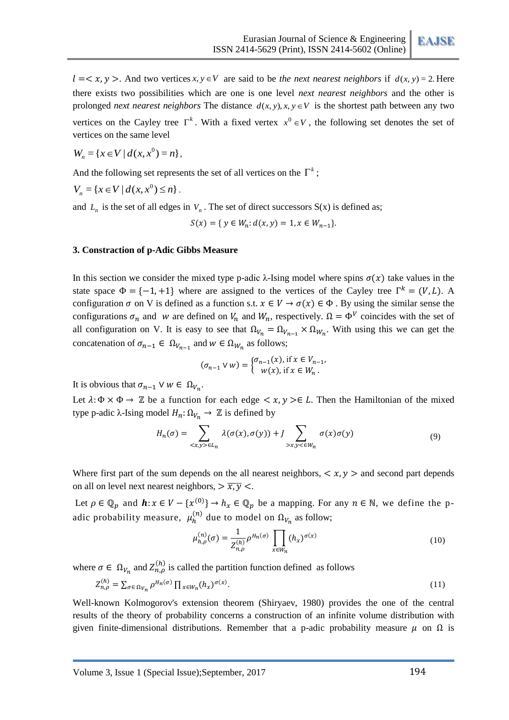$l = < x, y >$ . And two vertices  $x, y \in V$  are said to be *the next nearest neighbors* if  $d(x, y) = 2$ . Here there exists two possibilities which are one is one level *next nearest neighbors* and the other is prolonged *next nearest neighbors* The distance  $d(x, y), x, y \in V$  is the shortest path between any two vertices on the Cayley tree  $\Gamma^k$ . With a fixed vertex  $x^0 \in V$ , the following set denotes the set of vertices on the same level

$$
W_n = \{ x \in V \mid d(x, x^0) = n \},
$$

And the following set represents the set of all vertices on the  $\Gamma^k$ ;

$$
V_n = \{ x \in V \mid d(x, x^0) \le n \} .
$$

and  $L_n$  is the set of all edges in  $V_n$ . The set of direct successors  $S(x)$  is defined as;

 $S(x) = \{ y \in W_n : d(x, y) = 1, x \in W_{n-1} \}.$ 

### **3. Constraction of p-Adic Gibbs Measure**

In this section we consider the mixed type p-adic  $\lambda$ -Ising model where spins  $\sigma(x)$  take values in the state space  $\Phi = \{-1, +1\}$  where are assigned to the vertices of the Cayley tree  $\Gamma^k = (V, L)$ . A configuration  $\sigma$  on V is defined as a function s.t.  $x \in V \to \sigma(x) \in \Phi$ . By using the similar sense the configurations  $\sigma_n$  and w are defined on  $V_n$  and  $W_n$ , respectively.  $\Omega = \Phi^V$  coincides with the set of all configuration on V. It is easy to see that  $\Omega_{V_n} = \Omega_{V_{n-1}} \times \Omega_{W_n}$ . With using this we can get the concatenation of  $\sigma_{n-1} \in \Omega_{V_{n-1}}$  and  $w \in \Omega_{W_n}$  as follows;

$$
(\sigma_{n-1} \vee w) = \begin{cases} \sigma_{n-1}(x), \text{if } x \in V_{n-1}, \\ w(x), \text{if } x \in W_n. \end{cases}
$$

It is obvious that  $\sigma_{n-1} \vee w \in \Omega_{V_n}$ .

Let  $\lambda: \Phi \times \Phi \to \mathbb{Z}$  be a function for each edge  $\langle x, y \rangle \in L$ . Then the Hamiltonian of the mixed type p-adic  $\lambda$ -Ising model  $H_n: \Omega_{V_n} \to \mathbb{Z}$  is defined by

$$
H_n(\sigma) = \sum_{\langle x, y \rangle \in L_n} \lambda(\sigma(x), \sigma(y)) + J \sum_{\langle x, y \rangle \in W_n} \sigma(x) \sigma(y) \tag{9}
$$

Where first part of the sum depends on the all nearest neighbors,  $\langle x, y \rangle$  and second part depends on all on level next nearest neighbors,  $\frac{\overline{x}}{\overline{y}}$   $\leq$ .

Let  $\rho \in \mathbb{Q}_n$  and  $\mathbf{h}: x \in V - \{x^{(0)}\} \to h_x \in \mathbb{Q}_n$  be a mapping. For any  $n \in \mathbb{N}$ , we define the padic probability measure,  $\mu_h^{(n)}$  due to model on  $\Omega_{V_n}$  as follow;

$$
\mu_{h,\rho}^{(n)}(\sigma) = \frac{1}{Z_{n,\rho}^{(h)}} \rho^{H_n(\sigma)} \prod_{x \in W_n} (h_x)^{\sigma(x)} \tag{10}
$$

where  $\sigma \in \Omega_{V_n}$  and  $Z_{n,0}^{(h)}$  is called the partition function defined as follows

$$
Z_{n,\rho}^{(h)} = \sum_{\sigma \in \Omega_{V_n}} \rho^{H_n(\sigma)} \prod_{x \in W_n} (h_x)^{\sigma(x)}.
$$
 (11)

Well-known Kolmogorov's extension theorem (Shiryaev, 1980) provides the one of the central results of the theory of probability concerns a construction of an infinite volume distribution with given finite-dimensional distributions. Remember that a p-adic probability measure  $\mu$  on  $\Omega$  is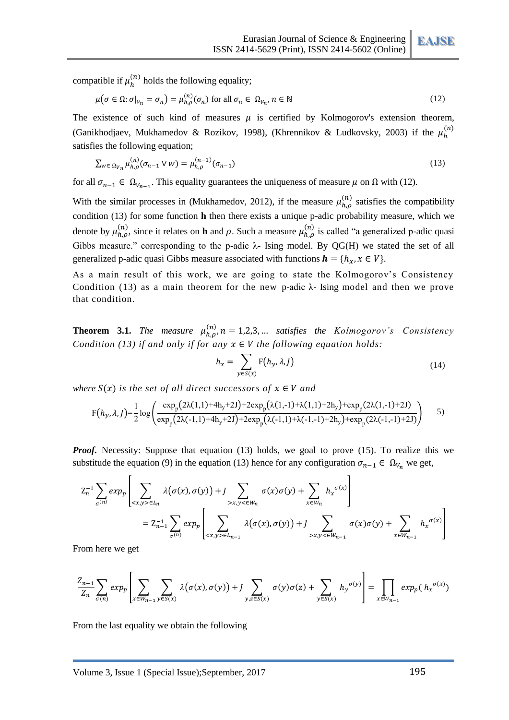compatible if  $\mu_h^{(n)}$  holds the following equality;

$$
\mu(\sigma \in \Omega; \sigma|_{V_n} = \sigma_n) = \mu_{h,\rho}^{(n)}(\sigma_n) \text{ for all } \sigma_n \in \Omega_{V_n}, n \in \mathbb{N}
$$
\n(12)

The existence of such kind of measures  $\mu$  is certified by Kolmogorov's extension theorem, (Ganikhodjaev, Mukhamedov & Rozikov, 1998), (Khrennikov & Ludkovsky, 2003) if the  $\mu_h^{(n)}$ satisfies the following equation:

$$
\sum_{w \in \Omega_{V_n}} \mu_{h,\rho}^{(n)}(\sigma_{n-1} \vee w) = \mu_{h,\rho}^{(n-1)}(\sigma_{n-1})
$$
\n(13)

for all  $\sigma_{n-1} \in \Omega_{V_{n-1}}$ . This equality guarantees the uniqueness of measure  $\mu$  on  $\Omega$  with (12).

With the similar processes in (Mukhamedov, 2012), if the measure  $\mu_{h,o}^{(n)}$  satisfies the compatibility condition (13) for some function **h** then there exists a unique p-adic probability measure, which we denote by  $\mu_h^{(n)}$ , since it relates on **h** and  $\rho$ . Such a measure  $\mu_h^{(n)}$  is called "a generalized p-adic quasi Gibbs measure." corresponding to the p-adic  $\lambda$ - Ising model. By QG(H) we stated the set of all generalized p-adic quasi Gibbs measure associated with functions  $\mathbf{h} = \{h_x, x \in V\}$ .

As a main result of this work, we are going to state the Kolmogorov's Consistency Condition (13) as a main theorem for the new p-adic  $\lambda$ - Ising model and then we prove that condition.

**Theorem 3.1.** *The measure*  $\mu_{h,0}^{(n)}$ ,  $n = 1,2,3,...$  *satisfies the Kolmogorov's Consistency Condition (13) if and only if for any*  $x \in V$  the following equation holds:

$$
h_x = \sum_{y \in S(x)} F(h_y, \lambda, J) \tag{14}
$$

*where*  $S(x)$  *is the set of all direct successors of*  $x \in V$  *and* 

$$
F(h_y, \lambda, J) = \frac{1}{2} \log \left( \frac{\exp_p(2\lambda(1,1) + 4h_y + 2J) + 2\exp_p(\lambda(1,-1) + \lambda(1,1) + 2h_y) + \exp_p(2\lambda(1,-1) + 2J)}{\exp_p(2\lambda(-1,1) + 4h_y + 2J) + 2\exp_p(\lambda(-1,1) + \lambda(-1,-1) + 2h_y) + \exp_p(2\lambda(-1,-1) + 2J)} \right) \tag{5}
$$

*Proof.* Necessity: Suppose that equation (13) holds, we goal to prove (15). To realize this we substitude the equation (9) in the equation (13) hence for any configuration  $\sigma_{n-1} \in \Omega_{V_n}$  we get,

$$
Z_n^{-1} \sum_{\sigma^{(n)}} exp_p \left[ \sum_{\langle x, y \rangle \in L_n} \lambda(\sigma(x), \sigma(y)) + J \sum_{\langle x, y \rangle \in W_n} \sigma(x) \sigma(y) + \sum_{x \in W_n} h_x^{\sigma(x)} \right]
$$
  
= 
$$
Z_{n-1}^{-1} \sum_{\sigma^{(n)}} exp_p \left[ \sum_{\langle x, y \rangle \in L_{n-1}} \lambda(\sigma(x), \sigma(y)) + J \sum_{\langle x, y \rangle \in W_{n-1}} \sigma(x) \sigma(y) + \sum_{x \in W_{n-1}} h_x^{\sigma(x)} \right]
$$

From here we get

$$
\frac{Z_{n-1}}{Z_n} \sum_{\sigma(n)} \exp_p \left[ \sum_{x \in W_{n-1}} \sum_{y \in S(x)} \lambda(\sigma(x), \sigma(y)) + \int \sum_{y, z \in S(x)} \sigma(y) \sigma(z) + \sum_{y \in S(x)} h_y^{\sigma(y)} \right] = \prod_{x \in W_{n-1}} \exp_p(h_x^{\sigma(x)})
$$

From the last equality we obtain the following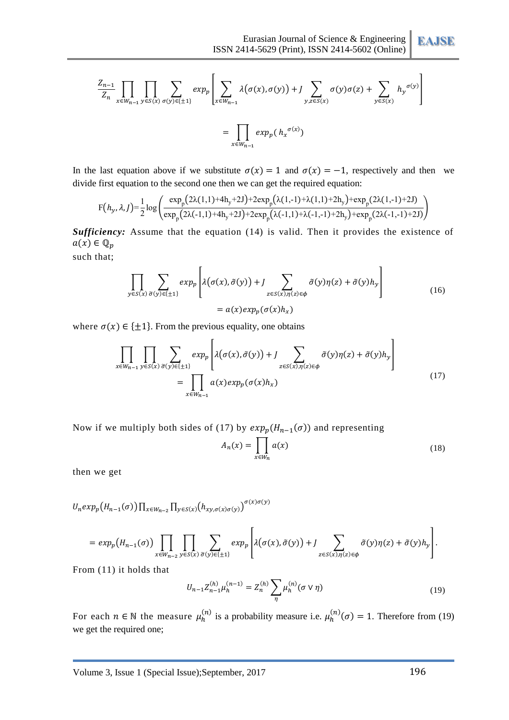**EAJSE**

$$
\frac{Z_{n-1}}{Z_n} \prod_{x \in W_{n-1}} \prod_{y \in S(x)} \sum_{\sigma(y) \in \{\pm 1\}} exp_p \left[ \sum_{x \in W_{n-1}} \lambda(\sigma(x), \sigma(y)) + J \sum_{y, z \in S(x)} \sigma(y) \sigma(z) + \sum_{y \in S(x)} h_y^{\sigma(y)} \right]
$$
  
= 
$$
\prod_{x \in W_{n-1}} exp_p(h_x^{\sigma(x)})
$$

In the last equation above if we substitute  $\sigma(x) = 1$  and  $\sigma(x) = -1$ , respectively and then we divide first equation to the second one then we can get the required equation:

$$
F(h_y, \lambda, J) = \frac{1}{2} \log \left( \frac{\exp_p(2\lambda(1,1) + 4h_y + 2J) + 2\exp_p(\lambda(1,-1) + \lambda(1,1) + 2h_y) + \exp_p(2\lambda(1,-1) + 2J)}{\exp_p(2\lambda(-1,1) + 4h_y + 2J) + 2\exp_p(\lambda(-1,1) + \lambda(-1,-1) + 2h_y) + \exp_p(2\lambda(-1,-1) + 2J)} \right)
$$

*Sufficiency:* Assume that the equation (14) is valid. Then it provides the existence of  $a(x) \in \mathbb{Q}_p$ such that;

$$
\prod_{y \in S(x)} \sum_{\tilde{\sigma}(y) \in \{\pm 1\}} exp_p \left[ \lambda(\sigma(x), \tilde{\sigma}(y)) + J \sum_{z \in S(x), \eta(z) \in \phi} \tilde{\sigma}(y) \eta(z) + \tilde{\sigma}(y) h_y \right]
$$
\n
$$
= a(x) exp_p(\sigma(x) h_x) \tag{16}
$$

where  $\sigma(x) \in \{\pm 1\}$ . From the previous equality, one obtains

$$
\prod_{x \in W_{n-1}} \prod_{y \in S(x)} \sum_{\tilde{\sigma}(y) \in \{\pm 1\}} exp_p \left[ \lambda(\sigma(x), \tilde{\sigma}(y)) + J \sum_{z \in S(x), \eta(z) \in \phi} \tilde{\sigma}(y) \eta(z) + \tilde{\sigma}(y) h_y \right]
$$
\n
$$
= \prod_{x \in W_{n-1}} a(x) exp_p(\sigma(x) h_x)
$$
\n(17)

Now if we multiply both sides of (17) by  $exp_n(H_{n-1}(\sigma))$  and representing

$$
A_n(x) = \prod_{x \in W_n} a(x) \tag{18}
$$

then we get

$$
U_n exp_p(H_{n-1}(\sigma)) \prod_{x \in W_{n-2}} \prod_{y \in S(x)} (h_{xy, \sigma(x)\sigma(y)})^{\sigma(x)\sigma(y)}
$$

$$
= exp_p(H_{n-1}(\sigma)) \prod_{x \in W_{n-2}} \prod_{y \in S(x)} \sum_{\tilde{\sigma}(y) \in \{\pm 1\}} exp_p \left[ \lambda(\sigma(x), \tilde{\sigma}(y)) + \int_{z \in S(x), \eta(z) \in \phi} \tilde{\sigma}(y) \eta(z) + \tilde{\sigma}(y) h_y \right].
$$

From (11) it holds that

$$
U_{n-1}Z_{n-1}^{(h)}\mu_h^{(n-1)} = Z_n^{(h)}\sum_{\eta}\mu_h^{(n)}(\sigma \vee \eta)
$$
\n(19)

For each  $n \in \mathbb{N}$  the measure  $\mu_h^{(n)}$  is a probability measure i.e.  $\mu_h^{(n)}(\sigma) = 1$ . Therefore from (19) we get the required one;